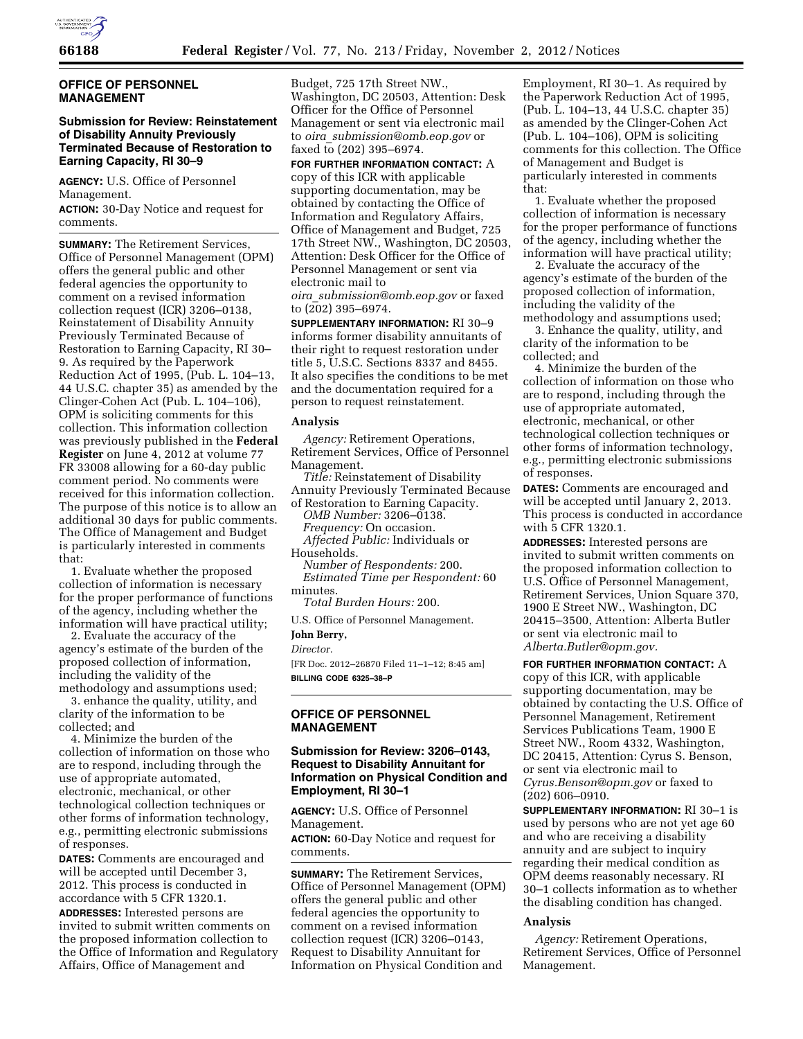

## **OFFICE OF PERSONNEL MANAGEMENT**

## **Submission for Review: Reinstatement of Disability Annuity Previously Terminated Because of Restoration to Earning Capacity, RI 30–9**

**AGENCY:** U.S. Office of Personnel Management.

**ACTION:** 30-Day Notice and request for comments.

**SUMMARY:** The Retirement Services, Office of Personnel Management (OPM) offers the general public and other federal agencies the opportunity to comment on a revised information collection request (ICR) 3206–0138, Reinstatement of Disability Annuity Previously Terminated Because of Restoration to Earning Capacity, RI 30– 9. As required by the Paperwork Reduction Act of 1995, (Pub. L. 104–13, 44 U.S.C. chapter 35) as amended by the Clinger-Cohen Act (Pub. L. 104–106), OPM is soliciting comments for this collection. This information collection was previously published in the **Federal Register** on June 4, 2012 at volume 77 FR 33008 allowing for a 60-day public comment period. No comments were received for this information collection. The purpose of this notice is to allow an additional 30 days for public comments. The Office of Management and Budget is particularly interested in comments that:

1. Evaluate whether the proposed collection of information is necessary for the proper performance of functions of the agency, including whether the information will have practical utility;

2. Evaluate the accuracy of the agency's estimate of the burden of the proposed collection of information, including the validity of the methodology and assumptions used;

3. enhance the quality, utility, and clarity of the information to be collected; and

4. Minimize the burden of the collection of information on those who are to respond, including through the use of appropriate automated, electronic, mechanical, or other technological collection techniques or other forms of information technology, e.g., permitting electronic submissions of responses.

**DATES:** Comments are encouraged and will be accepted until December 3, 2012. This process is conducted in accordance with 5 CFR 1320.1.

**ADDRESSES:** Interested persons are invited to submit written comments on the proposed information collection to the Office of Information and Regulatory Affairs, Office of Management and

Budget, 725 17th Street NW., Washington, DC 20503, Attention: Desk Officer for the Office of Personnel Management or sent via electronic mail to *oira*\_*[submission@omb.eop.gov](mailto:oira_submission@omb.eop.gov)* or faxed to (202) 395–6974.

**FOR FURTHER INFORMATION CONTACT:** A copy of this ICR with applicable supporting documentation, may be obtained by contacting the Office of Information and Regulatory Affairs, Office of Management and Budget, 725 17th Street NW., Washington, DC 20503, Attention: Desk Officer for the Office of Personnel Management or sent via electronic mail to *oira*\_*[submission@omb.eop.gov](mailto:oira_submission@omb.eop.gov)* or faxed to (202) 395–6974.

**SUPPLEMENTARY INFORMATION:** RI 30–9 informs former disability annuitants of their right to request restoration under title 5, U.S.C. Sections 8337 and 8455. It also specifies the conditions to be met and the documentation required for a person to request reinstatement.

#### **Analysis**

*Agency:* Retirement Operations, Retirement Services, Office of Personnel Management.

*Title:* Reinstatement of Disability Annuity Previously Terminated Because of Restoration to Earning Capacity.

*OMB Number:* 3206–0138. *Frequency:* On occasion. *Affected Public:* Individuals or

Households.

*Number of Respondents:* 200. *Estimated Time per Respondent:* 60 minutes.

*Total Burden Hours:* 200.

U.S. Office of Personnel Management.

## **John Berry,**

*Director.* 

[FR Doc. 2012–26870 Filed 11–1–12; 8:45 am] **BILLING CODE 6325–38–P** 

## **OFFICE OF PERSONNEL MANAGEMENT**

## **Submission for Review: 3206–0143, Request to Disability Annuitant for Information on Physical Condition and Employment, RI 30–1**

**AGENCY:** U.S. Office of Personnel Management.

**ACTION:** 60-Day Notice and request for comments.

**SUMMARY:** The Retirement Services, Office of Personnel Management (OPM) offers the general public and other federal agencies the opportunity to comment on a revised information collection request (ICR) 3206–0143, Request to Disability Annuitant for Information on Physical Condition and

Employment, RI 30–1. As required by the Paperwork Reduction Act of 1995, (Pub. L. 104–13, 44 U.S.C. chapter 35) as amended by the Clinger-Cohen Act (Pub. L. 104–106), OPM is soliciting comments for this collection. The Office of Management and Budget is particularly interested in comments that:

1. Evaluate whether the proposed collection of information is necessary for the proper performance of functions of the agency, including whether the information will have practical utility;

2. Evaluate the accuracy of the agency's estimate of the burden of the proposed collection of information, including the validity of the methodology and assumptions used;

3. Enhance the quality, utility, and clarity of the information to be collected; and

4. Minimize the burden of the collection of information on those who are to respond, including through the use of appropriate automated, electronic, mechanical, or other technological collection techniques or other forms of information technology, e.g., permitting electronic submissions of responses.

**DATES:** Comments are encouraged and will be accepted until January 2, 2013. This process is conducted in accordance with 5 CFR 1320.1.

**ADDRESSES:** Interested persons are invited to submit written comments on the proposed information collection to U.S. Office of Personnel Management, Retirement Services, Union Square 370, 1900 E Street NW., Washington, DC 20415–3500, Attention: Alberta Butler or sent via electronic mail to *[Alberta.Butler@opm.gov.](mailto:Alberta.Butler@opm.gov)* 

**FOR FURTHER INFORMATION CONTACT:** A copy of this ICR, with applicable supporting documentation, may be obtained by contacting the U.S. Office of Personnel Management, Retirement Services Publications Team, 1900 E Street NW., Room 4332, Washington, DC 20415, Attention: Cyrus S. Benson, or sent via electronic mail to *[Cyrus.Benson@opm.gov](mailto:Cyrus.Benson@opm.gov)* or faxed to (202) 606–0910.

**SUPPLEMENTARY INFORMATION:** RI 30–1 is used by persons who are not yet age 60 and who are receiving a disability annuity and are subject to inquiry regarding their medical condition as OPM deems reasonably necessary. RI 30–1 collects information as to whether the disabling condition has changed.

## **Analysis**

*Agency:* Retirement Operations, Retirement Services, Office of Personnel Management.